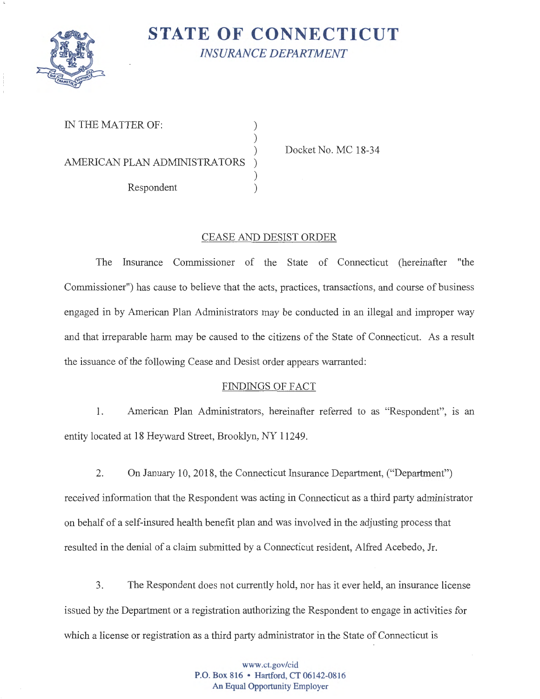

## **STATE OF CONNECTICUT**  *INSURANCE DEPARTMENT*

IN THE MATTER OF:

AMERICAN PLAN ADMINISTRATORS

Respondent )

Docket No. MC 18-34

## CEASE AND DESIST ORDER

) )

)

The Insurance Commissioner of the State of Connecticut (hereinafter "the Commissioner") has cause to believe that the acts, practices, transactions, and course of business engaged in by American Plan Administrators may be conducted in an illegal and improper way and that irreparable harm may be caused to the citizens of the State of Connecticut. As a result the issuance of the following Cease and Desist order appears warranted:

## FINDINGS OF FACT

1. American Plan Administrators, hereinafter referred to as "Respondent", 1s an entity located at 18 Heyward Street, Brooklyn, NY 11249.

2. On January 10, 2018, the Connecticut Insurance Department, ("Department") received information that the Respondent was acting in Connecticut as a third party administrator on behalf of a self-insured health benefit plan and was involved in the adjusting process that resulted in the denial of a claim submitted by a Connecticut resident, Alfred Acebedo, Jr.

3. The Respondent does not currently hold, nor has it ever held, an insurance license issued by the Department or a registration authorizing the Respondent to engage in activities for which a license or registration as a third party administrator in the State of Connecticut is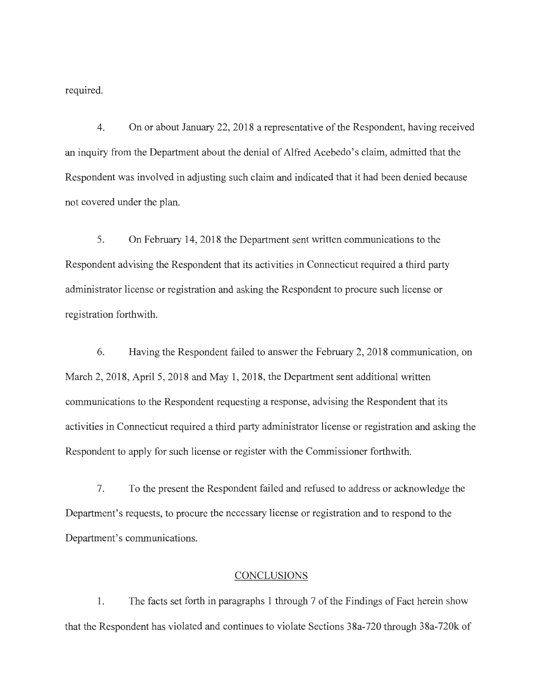required.

4. On or about January 22, 2018 a representative of the Respondent, having received an inquiry from the Department about the denial of Alfred Acebedo's claim, admitted that the Respondent was involved in adjusting such claim and indicated that it had been denied because not covered under the plan.

5. On February 14, 2018 the Department sent written communications to the Respondent advising the Respondent that its activities in Connecticut required a third party administrator license or registration and asking the Respondent to procure such license or registration forthwith.

6. Having the Respondent failed to answer the February 2, 2018 communication, on March 2, 2018, April 5, 2018 and May 1, 2018, the Department sent additional written communications to the Respondent requesting a response, advising the Respondent that its activities in Connecticut required a third party administrator license or registration and asking the Respondent to apply for such license or register with the Commissioner forthwith.

7. To the present the Respondent failed and refused to address or acknowledge the Department's requests, to procure the necessary license or registration and to respond to the Department's communications.

## CONCLUSIONS

1. The facts set forth in paragraphs 1 through 7 of the Findings of Fact herein show that the Respondent has violated and continues to violate Sections 38a-720 through 38a-720k of